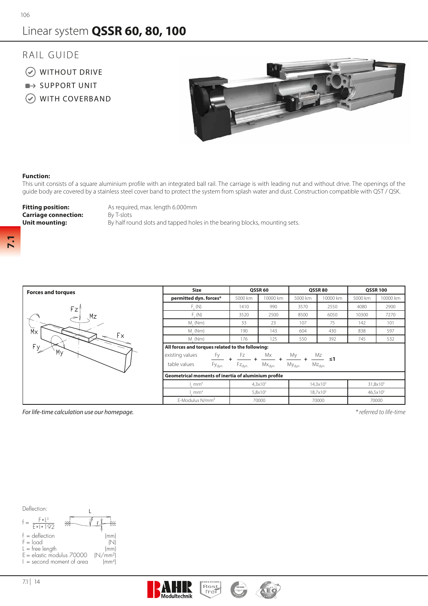## Linear system **QSSR 60, 80, 100**

## RAIL GUIDE

- WITHOUT DRIVE
- $\rightarrow$  SUPPORT UNIT
- WITH COVERBAND



## **Function:**

This unit consists of a square aluminium profile with an integrated ball rail. The carriage is with leading nut and without drive. The openings of the guide body are covered by a stainless steel cover band to protect the system from splash water and dust. Construction compatible with QST / QSK.

**Carriage connection:** By T-slots

**Fitting position:** As required, max. length 6.000mm **Unit mounting:** By half round slots and tapped holes in the bearing blocks, mounting sets.

**7.1**

| <b>Forces and torques</b>                                                |  |  |  |  |  |  |  |  |
|--------------------------------------------------------------------------|--|--|--|--|--|--|--|--|
| Fz<br>Mz<br>$\widecheck{\mathtt{M}}$ x<br>$\mathsf{F}\times$<br>Fy<br>M۱ |  |  |  |  |  |  |  |  |

| <b>Forces and torques</b> | Size                                                                                                                                                                                                      |                                                                                                                                                                                                                              |          |         |          | <b>OSSR 100</b> |          |  |  |  |  |  |  |
|---------------------------|-----------------------------------------------------------------------------------------------------------------------------------------------------------------------------------------------------------|------------------------------------------------------------------------------------------------------------------------------------------------------------------------------------------------------------------------------|----------|---------|----------|-----------------|----------|--|--|--|--|--|--|
|                           | permitted dyn. forces*                                                                                                                                                                                    | 5000 km                                                                                                                                                                                                                      | 10000 km | 5000 km | 10000 km | 5000 km         | 10000 km |  |  |  |  |  |  |
| Fz'                       | $F_{u}(N)$                                                                                                                                                                                                | 1410                                                                                                                                                                                                                         | 990      | 3570    | 2550     | 4080            | 2900     |  |  |  |  |  |  |
| Mz                        | $F_{\alpha}(N)$                                                                                                                                                                                           | 3520                                                                                                                                                                                                                         | 2500     | 8500    | 6050     | 10300           | 7270     |  |  |  |  |  |  |
|                           | $M_{\sim}$ (Nm)                                                                                                                                                                                           | 33                                                                                                                                                                                                                           | 23       | 107     | 75       | 142             | 101      |  |  |  |  |  |  |
| $\overline{M} \times$     | $M_{\odot}$ (Nm)                                                                                                                                                                                          | 190                                                                                                                                                                                                                          | 143      | 604     | 430      | 838             | 597      |  |  |  |  |  |  |
|                           | $M_{1}(Nm)$                                                                                                                                                                                               | 176                                                                                                                                                                                                                          | 125      | 550     | 392      | 745             | 532      |  |  |  |  |  |  |
| $F_{\frac{y}{x}}$         | All forces and torques related to the following:                                                                                                                                                          |                                                                                                                                                                                                                              |          |         |          |                 |          |  |  |  |  |  |  |
| My                        | Fх<br>existing values<br>Fy<br>Mx<br>Fz<br>table values<br>$Mx_{dyn}$<br>$Fz_{dyn}$<br>Fy <sub>dyn</sub><br>Geometrical moments of inertia of aluminium profile<br>4,3x10 <sup>5</sup><br>mm <sup>4</sup> |                                                                                                                                                                                                                              |          |         |          |                 |          |  |  |  |  |  |  |
|                           |                                                                                                                                                                                                           | OSSR80<br>OSSR <sub>60</sub><br>$\frac{Mz}{M}$ s1<br>My<br>$Mz_{dyn}$<br>$My_{dyn}$<br>$14,3x10^5$<br>31,8x10 <sup>5</sup><br>5,8x10 <sup>5</sup><br>18,7x10 <sup>5</sup><br>46,5x10 <sup>5</sup><br>70000<br>70000<br>70000 |          |         |          |                 |          |  |  |  |  |  |  |
|                           |                                                                                                                                                                                                           |                                                                                                                                                                                                                              |          |         |          |                 |          |  |  |  |  |  |  |
|                           |                                                                                                                                                                                                           |                                                                                                                                                                                                                              |          |         |          |                 |          |  |  |  |  |  |  |
|                           | mm <sup>4</sup>                                                                                                                                                                                           |                                                                                                                                                                                                                              |          |         |          |                 |          |  |  |  |  |  |  |
|                           | E-Modulus N/mm <sup>2</sup>                                                                                                                                                                               |                                                                                                                                                                                                                              |          |         |          |                 |          |  |  |  |  |  |  |

*For life-time calculation use our homepage.*

*\* referred to life-time*